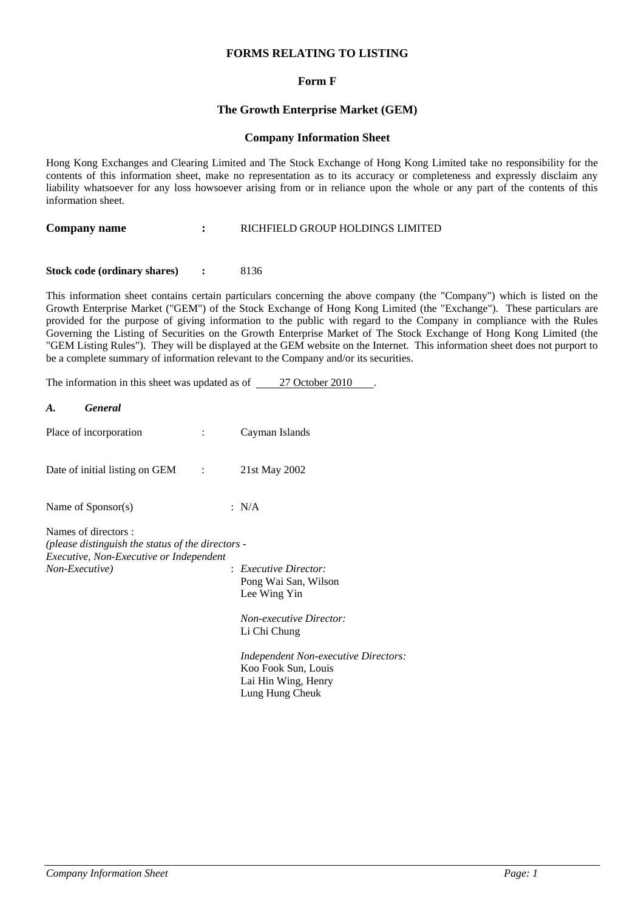# **FORMS RELATING TO LISTING**

# **Form F**

## **The Growth Enterprise Market (GEM)**

### **Company Information Sheet**

Hong Kong Exchanges and Clearing Limited and The Stock Exchange of Hong Kong Limited take no responsibility for the contents of this information sheet, make no representation as to its accuracy or completeness and expressly disclaim any liability whatsoever for any loss howsoever arising from or in reliance upon the whole or any part of the contents of this information sheet.

**Company name : COMPANY RICHFIELD GROUP HOLDINGS LIMITED** 

**Stock code (ordinary shares) : 8136** 

This information sheet contains certain particulars concerning the above company (the "Company") which is listed on the Growth Enterprise Market ("GEM") of the Stock Exchange of Hong Kong Limited (the "Exchange"). These particulars are provided for the purpose of giving information to the public with regard to the Company in compliance with the Rules Governing the Listing of Securities on the Growth Enterprise Market of The Stock Exchange of Hong Kong Limited (the "GEM Listing Rules"). They will be displayed at the GEM website on the Internet. This information sheet does not purport to be a complete summary of information relevant to the Company and/or its securities.

The information in this sheet was updated as of 27 October 2010.

| <b>General</b><br>A.                                                                                                                  |   |                                                                                                                                                                                                                            |
|---------------------------------------------------------------------------------------------------------------------------------------|---|----------------------------------------------------------------------------------------------------------------------------------------------------------------------------------------------------------------------------|
| Place of incorporation                                                                                                                | ÷ | Cayman Islands                                                                                                                                                                                                             |
| Date of initial listing on $GEM$ :                                                                                                    |   | 21st May 2002                                                                                                                                                                                                              |
| Name of $S_{\text{ponsor}}(s)$                                                                                                        |   | : $N/A$                                                                                                                                                                                                                    |
| Names of directors:<br>(please distinguish the status of the directors -<br>Executive, Non-Executive or Independent<br>Non-Executive) |   | $:$ Executive Director:<br>Pong Wai San, Wilson<br>Lee Wing Yin<br><b>Non-executive Director:</b><br>Li Chi Chung<br>Independent Non-executive Directors:<br>Koo Fook Sun, Louis<br>Lai Hin Wing, Henry<br>Lung Hung Cheuk |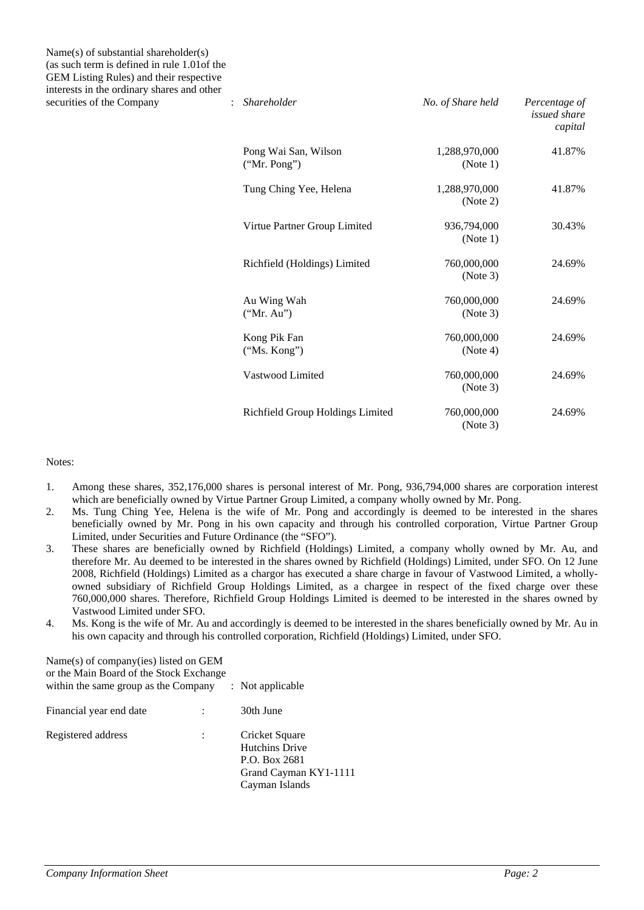Name(s) of substantial shareholder(s) (as such term is defined in rule 1.01of the GEM Listing Rules) and their respective interests in the ordinary shares and other securities of the Company :

| nneer ebeb in the brunner, bhareb anns banen<br>securities of the Company | Shareholder<br>$\ddot{\phantom{a}}$  | No. of Share held         | Percentage of<br>issued share<br>capital |
|---------------------------------------------------------------------------|--------------------------------------|---------------------------|------------------------------------------|
|                                                                           | Pong Wai San, Wilson<br>("Mr. Pong") | 1,288,970,000<br>(Note 1) | 41.87%                                   |
|                                                                           | Tung Ching Yee, Helena               | 1,288,970,000<br>(Note 2) | 41.87%                                   |
|                                                                           | Virtue Partner Group Limited         | 936,794,000<br>(Note 1)   | 30.43%                                   |
|                                                                           | Richfield (Holdings) Limited         | 760,000,000<br>(Note 3)   | 24.69%                                   |
|                                                                           | Au Wing Wah<br>("Mr. Au")            | 760,000,000<br>(Note 3)   | 24.69%                                   |
|                                                                           | Kong Pik Fan<br>("Ms. Kong")         | 760,000,000<br>(Note 4)   | 24.69%                                   |
|                                                                           | Vastwood Limited                     | 760,000,000<br>(Note 3)   | 24.69%                                   |
|                                                                           | Richfield Group Holdings Limited     | 760,000,000<br>(Note 3)   | 24.69%                                   |

### Notes:

- 1. Among these shares, 352,176,000 shares is personal interest of Mr. Pong, 936,794,000 shares are corporation interest which are beneficially owned by Virtue Partner Group Limited, a company wholly owned by Mr. Pong.
- 2. Ms. Tung Ching Yee, Helena is the wife of Mr. Pong and accordingly is deemed to be interested in the shares beneficially owned by Mr. Pong in his own capacity and through his controlled corporation, Virtue Partner Group Limited, under Securities and Future Ordinance (the "SFO").
- 3. These shares are beneficially owned by Richfield (Holdings) Limited, a company wholly owned by Mr. Au, and therefore Mr. Au deemed to be interested in the shares owned by Richfield (Holdings) Limited, under SFO. On 12 June 2008, Richfield (Holdings) Limited as a chargor has executed a share charge in favour of Vastwood Limited, a whollyowned subsidiary of Richfield Group Holdings Limited, as a chargee in respect of the fixed charge over these 760,000,000 shares. Therefore, Richfield Group Holdings Limited is deemed to be interested in the shares owned by Vastwood Limited under SFO.
- 4. Ms. Kong is the wife of Mr. Au and accordingly is deemed to be interested in the shares beneficially owned by Mr. Au in his own capacity and through his controlled corporation, Richfield (Holdings) Limited, under SFO.

| Name(s) of company(ies) listed on GEM<br>or the Main Board of the Stock Exchange<br>within the same group as the Company | : Not applicable                                                                                    |
|--------------------------------------------------------------------------------------------------------------------------|-----------------------------------------------------------------------------------------------------|
| Financial year end date                                                                                                  | 30th June                                                                                           |
| Registered address                                                                                                       | Cricket Square<br><b>Hutchins Drive</b><br>P.O. Box 2681<br>Grand Cayman KY1-1111<br>Cayman Islands |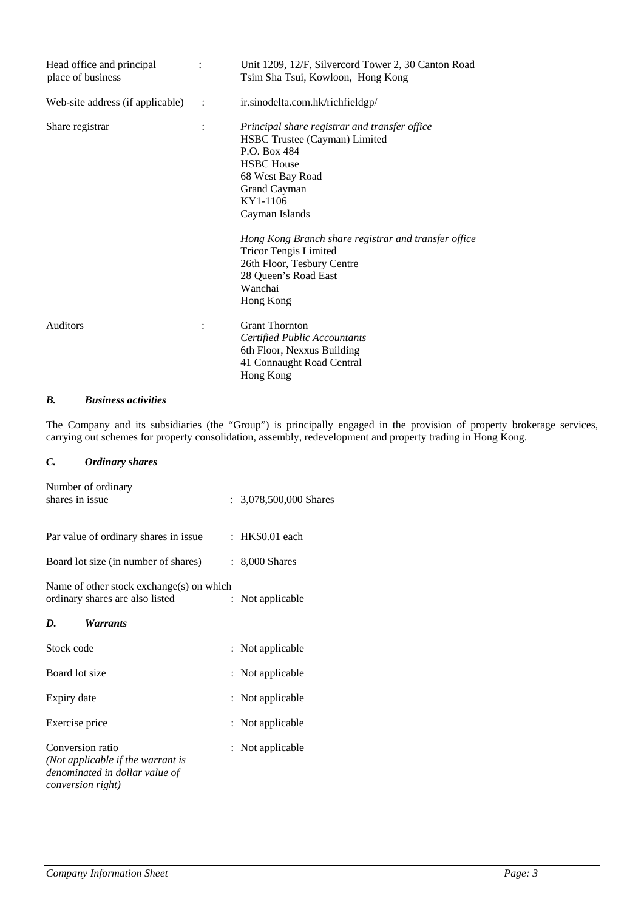| Head office and principal<br>place of business | $\ddot{\cdot}$ | Unit 1209, 12/F, Silvercord Tower 2, 30 Canton Road<br>Tsim Sha Tsui, Kowloon, Hong Kong                                                                                                                                                                                                                                                                    |
|------------------------------------------------|----------------|-------------------------------------------------------------------------------------------------------------------------------------------------------------------------------------------------------------------------------------------------------------------------------------------------------------------------------------------------------------|
| Web-site address (if applicable)               | $\sim$ 1.      | ir.sinodelta.com.hk/richfieldgp/                                                                                                                                                                                                                                                                                                                            |
| Share registrar                                | $\ddot{\cdot}$ | Principal share registrar and transfer office<br>HSBC Trustee (Cayman) Limited<br>P.O. Box 484<br><b>HSBC</b> House<br>68 West Bay Road<br>Grand Cayman<br>KY1-1106<br>Cayman Islands<br>Hong Kong Branch share registrar and transfer office<br><b>Tricor Tengis Limited</b><br>26th Floor, Tesbury Centre<br>28 Queen's Road East<br>Wanchai<br>Hong Kong |
| <b>Auditors</b>                                |                | <b>Grant Thornton</b><br>Certified Public Accountants<br>6th Floor, Nexxus Building<br>41 Connaught Road Central<br>Hong Kong                                                                                                                                                                                                                               |

#### $\mathbf{B}$ . *B. Business activities*

The Company and its subsidiaries (the "Group") is principally engaged in the provision of property brokerage services, carrying out schemes for property consolidation, assembly, redevelopment and property trading in Hong Kong.

# *C. Ordinary shares*

| Number of ordinary<br>shares in issue                                                                        |  | : $3,078,500,000$ Shares |
|--------------------------------------------------------------------------------------------------------------|--|--------------------------|
| Par value of ordinary shares in issue                                                                        |  | : HK\$0.01 each          |
| Board lot size (in number of shares)                                                                         |  | : 8,000 Shares           |
| Name of other stock exchange(s) on which<br>ordinary shares are also listed                                  |  | : Not applicable         |
| D.<br><i>Warrants</i>                                                                                        |  |                          |
| Stock code                                                                                                   |  | : Not applicable         |
| Board lot size                                                                                               |  | : Not applicable         |
| Expiry date                                                                                                  |  | : Not applicable         |
| Exercise price                                                                                               |  | : Not applicable         |
| Conversion ratio<br>(Not applicable if the warrant is<br>denominated in dollar value of<br>conversion right) |  | : Not applicable         |